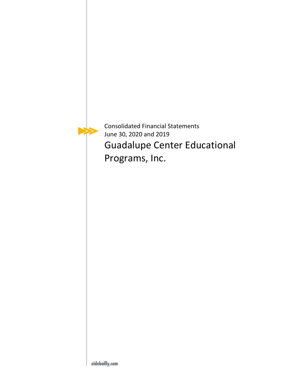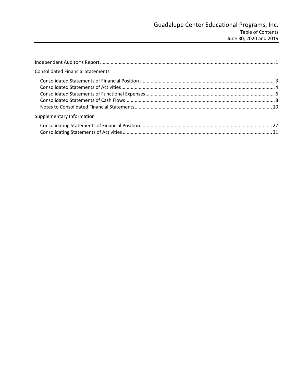| <b>Consolidated Financial Statements</b> |  |
|------------------------------------------|--|
|                                          |  |
|                                          |  |
|                                          |  |
|                                          |  |
|                                          |  |
| Supplementary Information                |  |
|                                          |  |
|                                          |  |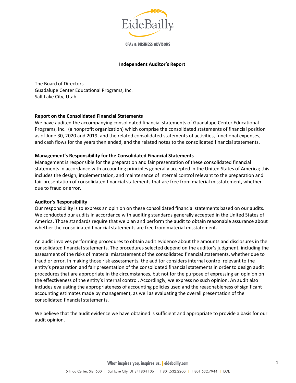

**CPAs & BUSINESS ADVISORS** 

#### **Independent Auditor's Report**

<span id="page-2-0"></span>The Board of Directors Guadalupe Center Educational Programs, Inc. Salt Lake City, Utah

#### **Report on the Consolidated Financial Statements**

We have audited the accompanying consolidated financial statements of Guadalupe Center Educational Programs, Inc. (a nonprofit organization) which comprise the consolidated statements of financial position as of June 30, 2020 and 2019, and the related consolidated statements of activities, functional expenses, and cash flows for the years then ended, and the related notes to the consolidated financial statements.

#### **Management's Responsibility for the Consolidated Financial Statements**

Management is responsible for the preparation and fair presentation of these consolidated financial statements in accordance with accounting principles generally accepted in the United States of America; this includes the design, implementation, and maintenance of internal control relevant to the preparation and fair presentation of consolidated financial statements that are free from material misstatement, whether due to fraud or error.

#### **Auditor's Responsibility**

Our responsibility is to express an opinion on these consolidated financial statements based on our audits. We conducted our audits in accordance with auditing standards generally accepted in the United States of America. Those standards require that we plan and perform the audit to obtain reasonable assurance about whether the consolidated financial statements are free from material misstatement.

An audit involves performing procedures to obtain audit evidence about the amounts and disclosures in the consolidated financial statements. The procedures selected depend on the auditor's judgment, including the assessment of the risks of material misstatement of the consolidated financial statements, whether due to fraud or error. In making those risk assessments, the auditor considers internal control relevant to the entity's preparation and fair presentation of the consolidated financial statements in order to design audit procedures that are appropriate in the circumstances, but not for the purpose of expressing an opinion on the effectiveness of the entity's internal control. Accordingly, we express no such opinion. An audit also includes evaluating the appropriateness of accounting policies used and the reasonableness of significant accounting estimates made by management, as well as evaluating the overall presentation of the consolidated financial statements.

We believe that the audit evidence we have obtained is sufficient and appropriate to provide a basis for our audit opinion.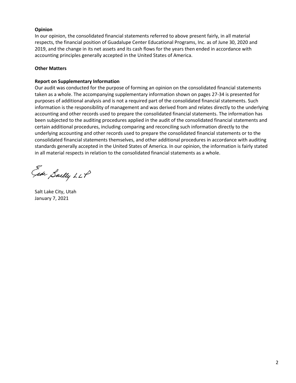### **Opinion**

In our opinion, the consolidated financial statements referred to above present fairly, in all material respects, the financial position of Guadalupe Center Educational Programs, Inc. as of June 30, 2020 and 2019, and the change in its net assets and its cash flows for the years then ended in accordance with accounting principles generally accepted in the United States of America.

#### **Other Matters**

#### **Report on Supplementary Information**

Our audit was conducted for the purpose of forming an opinion on the consolidated financial statements taken as a whole. The accompanying supplementary information shown on pages 27-34 is presented for purposes of additional analysis and is not a required part of the consolidated financial statements. Such information is the responsibility of management and was derived from and relates directly to the underlying accounting and other records used to prepare the consolidated financial statements. The information has been subjected to the auditing procedures applied in the audit of the consolidated financial statements and certain additional procedures, including comparing and reconciling such information directly to the underlying accounting and other records used to prepare the consolidated financial statements or to the consolidated financial statements themselves, and other additional procedures in accordance with auditing standards generally accepted in the United States of America. In our opinion, the information is fairly stated in all material respects in relation to the consolidated financial statements as a whole.

Each Sailly LLP

Salt Lake City, Utah January 7, 2021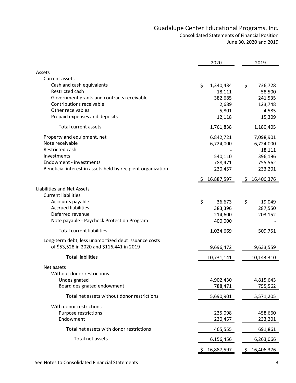<span id="page-4-1"></span><span id="page-4-0"></span>

|                                                              | 2020            | 2019             |
|--------------------------------------------------------------|-----------------|------------------|
| Assets                                                       |                 |                  |
| <b>Current assets</b>                                        |                 |                  |
| Cash and cash equivalents                                    | \$<br>1,340,434 | \$<br>736,728    |
| Restricted cash                                              | 18,111          | 58,500           |
| Government grants and contracts receivable                   | 382,685         | 241,535          |
| Contributions receivable                                     | 2,689           | 123,748          |
| Other receivables                                            | 5,801           | 4,585            |
| Prepaid expenses and deposits                                | 12,118          | 15,309           |
| <b>Total current assets</b>                                  | 1,761,838       | 1,180,405        |
| Property and equipment, net                                  | 6,842,721       | 7,098,901        |
| Note receivable                                              | 6,724,000       | 6,724,000        |
| Restricted cash                                              |                 | 18,111           |
| Investments                                                  | 540,110         | 396,196          |
| Endowment - investments                                      | 788,471         | 755,562          |
| Beneficial interest in assets held by recipient organization | 230,457         | 233,201          |
|                                                              | 16,887,597      | 16,406,376       |
| <b>Liabilities and Net Assets</b>                            |                 |                  |
| <b>Current liabilities</b>                                   |                 |                  |
| Accounts payable                                             | \$<br>36,673    | \$<br>19,049     |
| <b>Accrued liabilities</b>                                   | 383,396         | 287,550          |
| Deferred revenue                                             | 214,600         | 203,152          |
| Note payable - Paycheck Protection Program                   | 400,000         |                  |
| <b>Total current liabilities</b>                             | 1,034,669       | 509,751          |
| Long-term debt, less unamortized debt issuance costs         |                 |                  |
| of \$53,528 in 2020 and \$116,441 in 2019                    | 9,696,472       | 9,633,559        |
| <b>Total liabilities</b>                                     | 10,731,141      | 10,143,310       |
| Net assets                                                   |                 |                  |
| Without donor restrictions                                   |                 |                  |
| Undesignated                                                 | 4,902,430       | 4,815,643        |
| Board designated endowment                                   | 788,471         | 755,562          |
| Total net assets without donor restrictions                  | 5,690,901       | 5,571,205        |
| With donor restrictions                                      |                 |                  |
| Purpose restrictions                                         | 235,098         | 458,660          |
| Endowment                                                    | 230,457         | 233,201          |
| Total net assets with donor restrictions                     | 465,555         | 691,861          |
| Total net assets                                             | 6,156,456       | 6,263,066        |
|                                                              | 16,887,597      | 16,406,376<br>S. |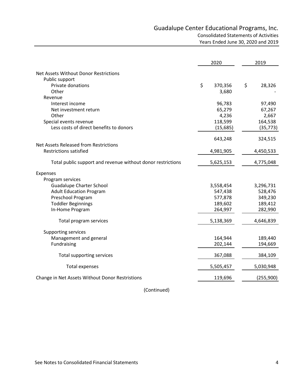<span id="page-5-0"></span>

|                                                             | 2020          |    | 2019      |
|-------------------------------------------------------------|---------------|----|-----------|
| Net Assets Without Donor Restrictions                       |               |    |           |
| Public support                                              |               |    |           |
| Private donations                                           | \$<br>370,356 | \$ | 28,326    |
| Other                                                       | 3,680         |    |           |
| Revenue                                                     |               |    |           |
| Interest income                                             | 96,783        |    | 97,490    |
| Net investment return                                       | 65,279        |    | 67,267    |
| Other                                                       | 4,236         |    | 2,667     |
| Special events revenue                                      | 118,599       |    | 164,538   |
| Less costs of direct benefits to donors                     | (15,685)      |    | (35, 773) |
|                                                             | 643,248       |    | 324,515   |
| Net Assets Released from Restrictions                       |               |    |           |
| <b>Restrictions satisfied</b>                               | 4,981,905     |    | 4,450,533 |
| Total public support and revenue without donor restrictions | 5,625,153     |    | 4,775,048 |
| Expenses                                                    |               |    |           |
| Program services                                            |               |    |           |
| <b>Guadalupe Charter School</b>                             | 3,558,454     |    | 3,296,731 |
| <b>Adult Education Program</b>                              | 547,438       |    | 528,476   |
| Preschool Program                                           | 577,878       |    | 349,230   |
| <b>Toddler Beginnings</b>                                   | 189,602       |    | 189,412   |
| In-Home Program                                             | 264,997       |    | 282,990   |
| Total program services                                      | 5,138,369     |    | 4,646,839 |
| <b>Supporting services</b>                                  |               |    |           |
| Management and general                                      | 164,944       |    | 189,440   |
| Fundraising                                                 | 202,144       |    | 194,669   |
| Total supporting services                                   | 367,088       |    | 384,109   |
| <b>Total expenses</b>                                       | 5,505,457     |    | 5,030,948 |
| Change in Net Assets Without Donor Restristions             | 119,696       |    | (255,900) |

(Continued)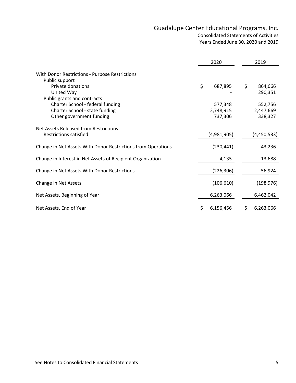|                                                                  | 2020          | 2019          |
|------------------------------------------------------------------|---------------|---------------|
| With Donor Restrictions - Purpose Restrictions<br>Public support |               |               |
| Private donations                                                | \$<br>687,895 | \$<br>864,666 |
| United Way<br>Public grants and contracts                        |               | 290,351       |
| Charter School - federal funding                                 | 577,348       | 552,756       |
| Charter School - state funding                                   | 2,748,915     | 2,447,669     |
| Other government funding                                         | 737,306       | 338,327       |
| Net Assets Released from Restrictions                            |               |               |
| <b>Restrictions satisfied</b>                                    | (4,981,905)   | (4,450,533)   |
| Change in Net Assets With Donor Restrictions from Operations     | (230, 441)    | 43,236        |
| Change in Interest in Net Assets of Recipient Organization       | 4,135         | 13,688        |
| Change in Net Assets With Donor Restrictions                     | (226, 306)    | 56,924        |
| Change in Net Assets                                             | (106, 610)    | (198, 976)    |
| Net Assets, Beginning of Year                                    | 6,263,066     | 6,462,042     |
| Net Assets, End of Year                                          | 6,156,456     | 6,263,066     |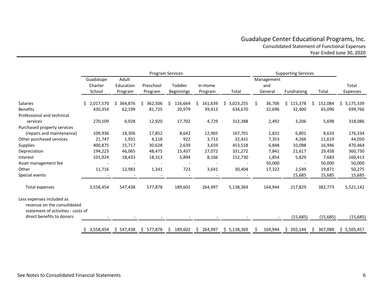# Guadalupe Center Educational Programs, Inc. Consolidated Statement of Functional Expenses Year Ended June 30, 2020

<span id="page-7-0"></span>

|                                                                                                |                                |                               |                      | <b>Program Services</b>  | <b>Supporting Services</b> |             |                              |             |               |                   |
|------------------------------------------------------------------------------------------------|--------------------------------|-------------------------------|----------------------|--------------------------|----------------------------|-------------|------------------------------|-------------|---------------|-------------------|
|                                                                                                | Guadalupe<br>Charter<br>School | Adult<br>Education<br>Program | Preschool<br>Program | Toddler<br>Beginnings    | In-Home<br>Program         | Total       | Management<br>and<br>General | Fundraising | Total         | Total<br>Expenses |
| Salaries                                                                                       | 2,017,570<br>Ś.                | \$<br>364,876                 | 362,506<br>S         | \$<br>116,664            | \$<br>161,639              | \$3,023,255 | Ŝ.<br>36,706                 | \$115,378   | \$<br>152,084 | \$3,175,339       |
| <b>Benefits</b>                                                                                | 430,354                        | 62,199                        | 81,725               | 20,979                   | 39,413                     | 634,670     | 32,696                       | 32,400      | 65,096        | 699,766           |
| Professional and technical                                                                     |                                |                               |                      |                          |                            |             |                              |             |               |                   |
| services                                                                                       | 270,109                        | 6,928                         | 12,920               | 17,702                   | 4,729                      | 312,388     | 2,492                        | 3,206       | 5,698         | 318,086           |
| Purchased property services                                                                    |                                |                               |                      |                          |                            |             |                              |             |               |                   |
| (repairs and maintenance)                                                                      | 109,936                        | 18,306                        | 17,852               | 8,642                    | 12,965                     | 167,701     | 1,832                        | 6,801       | 8,633         | 176,334           |
| Other purchased services                                                                       | 21,747                         | 1,931                         | 4,118                | 922                      | 3,713                      | 32,431      | 7,353                        | 4,266       | 11,619        | 44,050            |
| <b>Supplies</b>                                                                                | 400,875                        | 15,717                        | 30,628               | 2,639                    | 3,659                      | 453,518     | 6,848                        | 10,098      | 16,946        | 470,464           |
| Depreciation                                                                                   | 194,223                        | 46,065                        | 48,475               | 15,437                   | 27,072                     | 331,272     | 7,841                        | 21,617      | 29,458        | 360,730           |
| Interest                                                                                       | 101,924                        | 18,433                        | 18,313               | 5,894                    | 8,166                      | 152,730     | 1,854                        | 5,829       | 7,683         | 160,413           |
| Asset management fee                                                                           |                                |                               |                      |                          |                            |             | 50,000                       |             | 50,000        | 50,000            |
| Other                                                                                          | 11,716                         | 12,983                        | 1,341                | 723                      | 3,641                      | 30,404      | 17,322                       | 2,549       | 19,871        | 50,275            |
| Special events                                                                                 |                                |                               |                      | $\overline{\phantom{a}}$ |                            |             |                              | 15,685      | 15,685        | 15,685            |
| Total expenses                                                                                 | 3,558,454                      | 547,438                       | 577,878              | 189,602                  | 264,997                    | 5,138,369   | 164,944                      | 217,829     | 382,773       | 5,521,142         |
| Less expenses included as<br>revenue on the consolidated<br>statement of activities - costs of |                                |                               |                      |                          |                            |             |                              |             |               |                   |
| direct benefits to donors                                                                      |                                |                               |                      |                          |                            |             |                              | (15,685)    | (15, 685)     | (15, 685)         |
|                                                                                                | 3,558,454                      | \$547,438                     | \$577,878            | \$<br>189,602            | \$<br>264,997              | \$5,138,369 | Ŝ.<br>164,944                | \$202,144   | S.<br>367,088 | \$5,505,457       |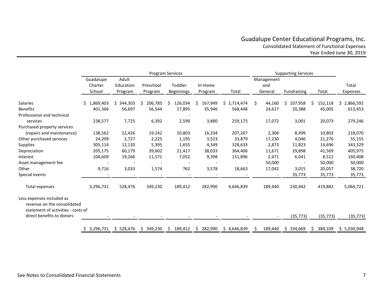## Guadalupe Center Educational Programs, Inc. Consolidated Statement of Functional Expenses Year Ended June 30, 2019

|                                                                                                |                                |                               |                      | Program Services             |                    |             |                              | <b>Supporting Services</b> |               |                   |
|------------------------------------------------------------------------------------------------|--------------------------------|-------------------------------|----------------------|------------------------------|--------------------|-------------|------------------------------|----------------------------|---------------|-------------------|
|                                                                                                | Guadalupe<br>Charter<br>School | Adult<br>Education<br>Program | Preschool<br>Program | Toddler<br><b>Beginnings</b> | In-Home<br>Program | Total       | Management<br>and<br>General | Fundraising                | Total         | Total<br>Expenses |
| Salaries                                                                                       | ,869,403<br>\$                 | 344,303<br>\$                 | 206,785<br>S.        | \$<br>126,034                | \$.<br>167,949     | \$2,714,474 | \$<br>44,160                 | 107,958<br>\$.             | Ŝ.<br>152,118 | \$2,866,592       |
| <b>Benefits</b>                                                                                | 401,366                        | 56,697                        | 56,544               | 17,895                       | 35,946             | 568,448     | 24,617                       | 20,388                     | 45,005        | 613,453           |
| Professional and technical                                                                     |                                |                               |                      |                              |                    |             |                              |                            |               |                   |
| services                                                                                       | 238,577                        | 7,725                         | 6,392                | 2,599                        | 3,880              | 259,173     | 17,072                       | 3,001                      | 20,073        | 279,246           |
| Purchased property services                                                                    |                                |                               |                      |                              |                    |             |                              |                            |               |                   |
| (repairs and maintenance)                                                                      | 138,562                        | 22,426                        | 19,142               | 10,803                       | 16,334             | 207,267     | 2,304                        | 8,499                      | 10,803        | 218,070           |
| Other purchased services                                                                       | 24,209                         | 2,727                         | 2,225                | 1,195                        | 3,523              | 33,879      | 17,230                       | 4,046                      | 21,276        | 55,155            |
| <b>Supplies</b>                                                                                | 305,114                        | 12,120                        | 5,395                | 1,655                        | 4,349              | 328,633     | 2,873                        | 11,823                     | 14,696        | 343,329           |
| Depreciation                                                                                   | 205,175                        | 60,179                        | 39,602               | 21,417                       | 38,033             | 364,406     | 11,671                       | 29,898                     | 41,569        | 405,975           |
| Interest                                                                                       | 104,609                        | 19,266                        | 11,571               | 7,052                        | 9,398              | 151,896     | 2,471                        | 6,041                      | 8,512         | 160,408           |
| Asset management fee                                                                           |                                |                               |                      |                              |                    |             | 50,000                       |                            | 50,000        | 50,000            |
| Other                                                                                          | 9,716                          | 3,033                         | 1,574                | 762                          | 3,578              | 18,663      | 17,042                       | 3,015                      | 20,057        | 38,720            |
| Special events                                                                                 |                                |                               |                      | $\overline{\phantom{a}}$     |                    |             | $\overline{\phantom{a}}$     | 35,773                     | 35,773        | 35,773            |
| Total expenses                                                                                 | 3,296,731                      | 528,476                       | 349,230              | 189,412                      | 282,990            | 4,646,839   | 189,440                      | 230,442                    | 419,882       | 5,066,721         |
| Less expenses included as<br>revenue on the consolidated<br>statement of activities - costs of |                                |                               |                      |                              |                    |             |                              |                            |               |                   |
| direct benefits to donors                                                                      |                                |                               |                      |                              |                    |             |                              | (35, 773)                  | (35, 773)     | (35, 773)         |
|                                                                                                | 3,296,731                      | \$528,476                     | \$349,230            | \$<br>189,412                | \$<br>282,990      | \$4,646,839 | 189,440<br>.S                | \$194,669                  | S.<br>384,109 | \$5,030,948       |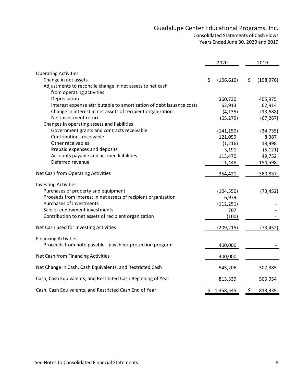# Guadalupe Center Educational Programs, Inc. Consolidated Statements of Cash Flows Years Ended June 30, 2020 and 2019

<span id="page-9-0"></span>

|                                                                      | 2020             |    | 2019       |
|----------------------------------------------------------------------|------------------|----|------------|
| <b>Operating Activities</b>                                          |                  |    |            |
| Change in net assets                                                 | \$<br>(106, 610) | \$ | (198, 976) |
| Adjustments to reconcile change in net assets to net cash            |                  |    |            |
| from operating activities                                            |                  |    |            |
| Depreciation                                                         | 360,730          |    | 405,975    |
| Interest expense attributable to amortization of debt issuance costs | 62,913           |    | 62,914     |
| Change in interest in net assets of recipient organization           | (4, 135)         |    | (13, 688)  |
| Net investment return                                                | (65, 279)        |    | (67, 267)  |
| Changes in operating assets and liabilities                          |                  |    |            |
| Government grants and contracts receivable                           | (141, 150)       |    | (34, 735)  |
| Contributions receivable                                             | 121,059          |    | 8,387      |
| Other receivables                                                    | (1,216)          |    | 18,998     |
| Prepaid expenses and deposits                                        | 3,191            |    | (5, 121)   |
| Accounts payable and accrued liabilities                             | 113,470          |    | 49,752     |
| Deferred revenue                                                     | 11,448           |    | 154,598    |
| Net Cash from Operating Activities                                   | 354,421          |    | 380,837    |
| <b>Investing Activities</b>                                          |                  |    |            |
| Purchases of property and equipment                                  | (104, 550)       |    | (73, 452)  |
| Proceeds from interest in net assets of recipient organization       | 6,979            |    |            |
| Purchases of investments                                             | (112, 251)       |    |            |
| Sale of endowment investments                                        | 707              |    |            |
| Contribution to net assets of recipient organization                 | (100)            |    |            |
| Net Cash used for Investing Activities                               | (209, 215)       |    | (73, 452)  |
| <b>Financing Activities</b>                                          |                  |    |            |
| Proceeds from note payable - paycheck protection program             | 400,000          |    |            |
| Net Cash from Financing Activities                                   | 400,000          |    |            |
| Net Change in Cash, Cash Equivalents, and Restricted Cash            | 545,206          |    | 307,385    |
| Cash, Cash Equivalents, and Restricted Cash Beginning of Year        | 813,339          |    | 505,954    |
| Cash, Cash Equivalents, and Restricted Cash End of Year              | \$<br>1,358,545  | \$ | 813,339    |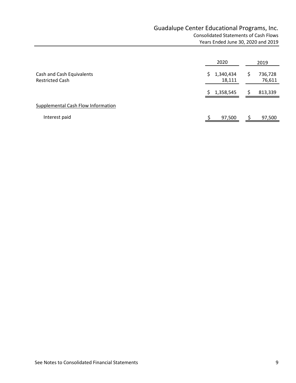|                                                     | 2020                       | 2019                   |
|-----------------------------------------------------|----------------------------|------------------------|
| Cash and Cash Equivalents<br><b>Restricted Cash</b> | 1,340,434<br>\$.<br>18,111 | 736,728<br>S<br>76,611 |
|                                                     | 1,358,545                  | 813,339<br>S           |
| Supplemental Cash Flow Information                  |                            |                        |
| Interest paid                                       | 97,500                     | 97,500                 |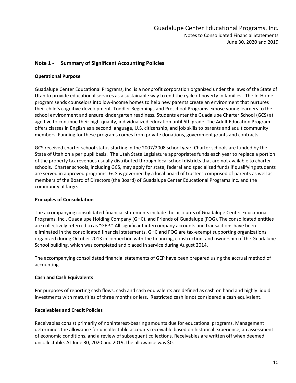### <span id="page-11-0"></span>**Note 1 - Summary of Significant Accounting Policies**

#### **Operational Purpose**

Guadalupe Center Educational Programs, Inc. is a nonprofit corporation organized under the laws of the State of Utah to provide educational services as a sustainable way to end the cycle of poverty in families. The In-Home program sends counselors into low-income homes to help new parents create an environment that nurtures their child's cognitive development. Toddler Beginnings and Preschool Programs expose young learners to the school environment and ensure kindergarten readiness. Students enter the Guadalupe Charter School (GCS) at age five to continue their high-quality, individualized education until 6th grade. The Adult Education Program offers classes in English as a second language, U.S. citizenship, and job skills to parents and adult community members. Funding for these programs comes from private donations, government grants and contracts.

GCS received charter school status starting in the 2007/2008 school year. Charter schools are funded by the State of Utah on a per pupil basis. The Utah State Legislature appropriates funds each year to replace a portion of the property tax revenues usually distributed through local school districts that are not available to charter schools. Charter schools, including GCS, may apply for state, federal and specialized funds if qualifying students are served in approved programs. GCS is governed by a local board of trustees comprised of parents as well as members of the Board of Directors (the Board) of Guadalupe Center Educational Programs Inc. and the community at large.

#### **Principles of Consolidation**

The accompanying consolidated financial statements include the accounts of Guadalupe Center Educational Programs, Inc., Guadalupe Holding Company (GHC), and Friends of Guadalupe (FOG). The consolidated entities are collectively referred to as "GEP." All significant intercompany accounts and transactions have been eliminated in the consolidated financial statements. GHC and FOG are tax-exempt supporting organizations organized during October 2013 in connection with the financing, construction, and ownership of the Guadalupe School building, which was completed and placed in service during August 2014.

The accompanying consolidated financial statements of GEP have been prepared using the accrual method of accounting.

#### **Cash and Cash Equivalents**

For purposes of reporting cash flows, cash and cash equivalents are defined as cash on hand and highly liquid investments with maturities of three months or less. Restricted cash is not considered a cash equivalent.

#### **Receivables and Credit Policies**

Receivables consist primarily of noninterest-bearing amounts due for educational programs. Management determines the allowance for uncollectable accounts receivable based on historical experience, an assessment of economic conditions, and a review of subsequent collections. Receivables are written off when deemed uncollectable. At June 30, 2020 and 2019, the allowance was \$0.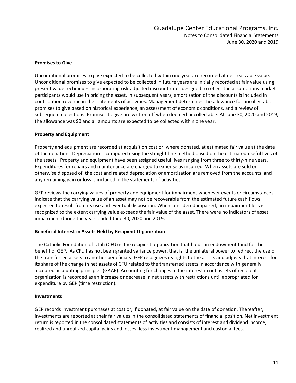#### **Promises to Give**

Unconditional promises to give expected to be collected within one year are recorded at net realizable value. Unconditional promises to give expected to be collected in future years are initially recorded at fair value using present value techniques incorporating risk-adjusted discount rates designed to reflect the assumptions market participants would use in pricing the asset. In subsequent years, amortization of the discounts is included in contribution revenue in the statements of activities. Management determines the allowance for uncollectable promises to give based on historical experience, an assessment of economic conditions, and a review of subsequent collections. Promises to give are written off when deemed uncollectable. At June 30, 2020 and 2019, the allowance was \$0 and all amounts are expected to be collected within one year.

### **Property and Equipment**

Property and equipment are recorded at acquisition cost or, where donated, at estimated fair value at the date of the donation. Depreciation is computed using the straight-line method based on the estimated useful lives of the assets. Property and equipment have been assigned useful lives ranging from three to thirty-nine years. Expenditures for repairs and maintenance are charged to expense as incurred. When assets are sold or otherwise disposed of, the cost and related depreciation or amortization are removed from the accounts, and any remaining gain or loss is included in the statements of activities.

GEP reviews the carrying values of property and equipment for impairment whenever events or circumstances indicate that the carrying value of an asset may not be recoverable from the estimated future cash flows expected to result from its use and eventual disposition. When considered impaired, an impairment loss is recognized to the extent carrying value exceeds the fair value of the asset. There were no indicators of asset impairment during the years ended June 30, 2020 and 2019.

#### **Beneficial Interest in Assets Held by Recipient Organization**

The Catholic Foundation of Utah (CFU) is the recipient organization that holds an endowment fund for the benefit of GEP. As CFU has not been granted variance power, that is, the unilateral power to redirect the use of the transferred assets to another beneficiary, GEP recognizes its rights to the assets and adjusts that interest for its share of the change in net assets of CFU related to the transferred assets in accordance with generally accepted accounting principles (GAAP). Accounting for changes in the interest in net assets of recipient organization is recorded as an increase or decrease in net assets with restrictions until appropriated for expenditure by GEP (time restriction).

#### **Investments**

GEP records investment purchases at cost or, if donated, at fair value on the date of donation. Thereafter, investments are reported at their fair values in the consolidated statements of financial position. Net investment return is reported in the consolidated statements of activities and consists of interest and dividend income, realized and unrealized capital gains and losses, less investment management and custodial fees.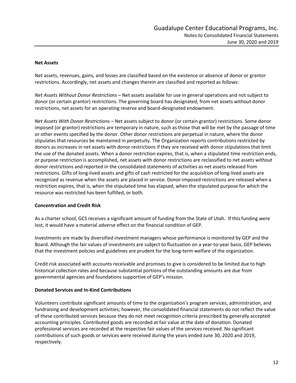#### **Net Assets**

Net assets, revenues, gains, and losses are classified based on the existence or absence of donor or grantor restrictions. Accordingly, net assets and changes therein are classified and reported as follows:

*Net Assets Without Donor Restrictions* – Net assets available for use in general operations and not subject to donor (or certain grantor) restrictions. The governing board has designated, from net assets without donor restrictions, net assets for an operating reserve and board-designated endowment.

*Net Assets With Donor Restrictions* – Net assets subject to donor (or certain grantor) restrictions. Some donor imposed (or grantor) restrictions are temporary in nature, such as those that will be met by the passage of time or other events specified by the donor. Other donor restrictions are perpetual in nature, where the donor stipulates that resources be maintained in perpetuity. The Organization reports contributions restricted by donors as increases in net assets with donor restrictions if they are received with donor stipulations that limit the use of the donated assets. When a donor restriction expires, that is, when a stipulated time restriction ends, or purpose restriction is accomplished, net assets with donor restrictions are reclassified to net assets without donor restrictions and reported in the consolidated statements of activities as net assets released from restrictions. Gifts of long-lived assets and gifts of cash restricted for the acquisition of long-lived assets are recognized as revenue when the assets are placed in service. Donor-imposed restrictions are released when a restriction expires, that is, when the stipulated time has elapsed, when the stipulated purpose for which the resource was restricted has been fulfilled, or both.

#### **Concentration and Credit Risk**

As a charter school, GCS receives a significant amount of funding from the State of Utah. If this funding were lost, it would have a material adverse effect on the financial condition of GEP.

Investments are made by diversified investment managers whose performance is monitored by GEP and the Board. Although the fair values of investments are subject to fluctuation on a year-to-year basis, GEP believes that the investment policies and guidelines are prudent for the long-term welfare of the organization.

Credit risk associated with accounts receivable and promises to give is considered to be limited due to high historical collection rates and because substantial portions of the outstanding amounts are due from governmental agencies and foundations supportive of GEP's mission.

#### **Donated Services and In-Kind Contributions**

Volunteers contribute significant amounts of time to the organization's program services, administration, and fundraising and development activities; however, the consolidated financial statements do not reflect the value of these contributed services because they do not meet recognition criteria prescribed by generally accepted accounting principles. Contributed goods are recorded at fair value at the date of donation. Donated professional services are recorded at the respective fair values of the services received. No significant contributions of such goods or services were received during the years ended June 30, 2020 and 2019, respectively.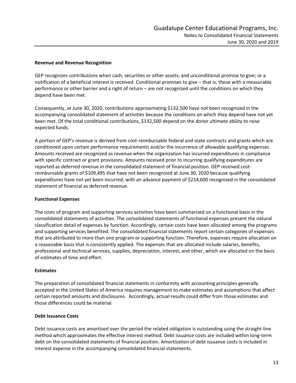#### **Revenue and Revenue Recognition**

GEP recognizes contributions when cash, securities or other assets; and unconditional promise to give; or a notification of a beneficial interest is received. Conditional promises to give – that is, those with a measurable performance or other barrier and a right of return – are not recognized until the conditions on which they depend have been met.

Consequently, at June 30, 2020, contributions approximating \$132,500 have not been recognized in the accompanying consolidated statement of activities because the conditions on which they depend have not yet been met. Of the total conditional contributions, \$132,500 depend on the donor ultimate ability to raise expected funds.

A portion of GEP's revenue is derived from cost-reimbursable federal and state contracts and grants which are conditioned upon certain performance requirements and/or the incurrence of allowable qualifying expenses. Amounts received are recognized as revenue when the organization has incurred expenditures in compliance with specific contract or grant provisions. Amounts received prior to incurring qualifying expenditures are reported as deferred revenue in the consolidated statement of financial position. GEP received costreimbursable grants of \$109,495 that have not been recognized at June 30, 2020 because qualifying expenditures have not yet been incurred, with an advance payment of \$214,600 recognized in the consolidated statement of financial as deferred revenue.

#### **Functional Expenses**

The costs of program and supporting services activities have been summarized on a functional basis in the consolidated statements of activities. The consolidated statements of functional expenses present the natural classification detail of expenses by function. Accordingly, certain costs have been allocated among the programs and supporting services benefited. The consolidated financial statements report certain categories of expenses that are attributed to more than one program or supporting function. Therefore, expenses require allocation on a reasonable basis that is consistently applied. The expenses that are allocated include salaries, benefits, professional and technical services, supplies, depreciation, interest, and other, which are allocated on the basis of estimates of time and effort.

#### **Estimates**

The preparation of consolidated financial statements in conformity with accounting principles generally accepted in the United States of America requires management to make estimates and assumptions that affect certain reported amounts and disclosures. Accordingly, actual results could differ from those estimates and those differences could be material.

#### **Debt Issuance Costs**

Debt issuance costs are amortized over the period the related obligation is outstanding using the straight-line method which approximates the effective interest method. Debt issuance costs are included within long-term debt on the consolidated statements of financial position. Amortization of debt issuance costs is included in interest expense in the accompanying consolidated financial statements.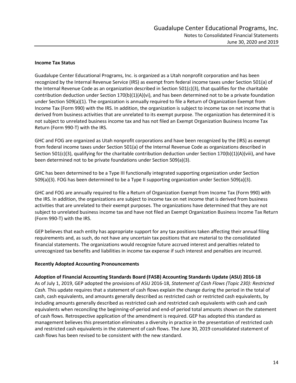#### **Income Tax Status**

Guadalupe Center Educational Programs, Inc. is organized as a Utah nonprofit corporation and has been recognized by the Internal Revenue Service (IRS) as exempt from federal income taxes under Section 501(a) of the Internal Revenue Code as an organization described in Section 501(c)(3), that qualifies for the charitable contribution deduction under Section 170(b)(1)(A)(vi), and has been determined not to be a private foundation under Section 509(a)(1). The organization is annually required to file a Return of Organization Exempt from Income Tax (Form 990) with the IRS. In addition, the organization is subject to income tax on net income that is derived from business activities that are unrelated to its exempt purpose. The organization has determined it is not subject to unrelated business income tax and has not filed an Exempt Organization Business Income Tax Return (Form 990-T) with the IRS.

GHC and FOG are organized as Utah nonprofit corporations and have been recognized by the (IRS) as exempt from federal income taxes under Section 501(a) of the Internal Revenue Code as organizations described in Section 501(c)(3), qualifying for the charitable contribution deduction under Section 170(b)(1)(A)(viii), and have been determined not to be private foundations under Section 509(a)(3).

GHC has been determined to be a Type III functionally integrated supporting organization under Section 509(a)(3). FOG has been determined to be a Type II supporting organization under Section 509(a)(3).

GHC and FOG are annually required to file a Return of Organization Exempt from Income Tax (Form 990) with the IRS. In addition, the organizations are subject to income tax on net income that is derived from business activities that are unrelated to their exempt purposes. The organizations have determined that they are not subject to unrelated business income tax and have not filed an Exempt Organization Business Income Tax Return (Form 990-T) with the IRS.

GEP believes that each entity has appropriate support for any tax positions taken affecting their annual filing requirements and, as such, do not have any uncertain tax positions that are material to the consolidated financial statements. The organizations would recognize future accrued interest and penalties related to unrecognized tax benefits and liabilities in income tax expense if such interest and penalties are incurred.

#### **Recently Adopted Accounting Pronouncements**

#### **Adoption of Financial Accounting Standards Board (FASB) Accounting Standards Update (ASU) 2016‐18**

As of July 1, 2019, GEP adopted the provisions of ASU 2016‐18, *Statement of Cash Flows (Topic 230): Restricted Cash.* This update requires that a statement of cash flows explain the change during the period in the total of cash, cash equivalents, and amounts generally described as restricted cash or restricted cash equivalents, by including amounts generally described as restricted cash and restricted cash equivalents with cash and cash equivalents when reconciling the beginning‐of‐period and end‐of period total amounts shown on the statement of cash flows. Retrospective application of the amendment is required. GEP has adopted this standard as management believes this presentation eliminates a diversity in practice in the presentation of restricted cash and restricted cash equivalents in the statement of cash flows. The June 30, 2019 consolidated statement of cash flows has been revised to be consistent with the new standard.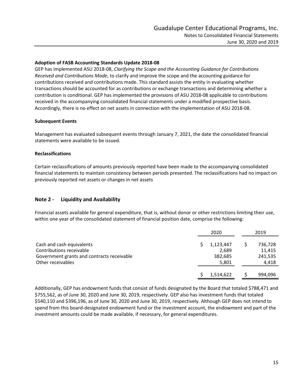#### **Adoption of FASB Accounting Standards Update 2018‐08**

GEP has implemented ASU 2018‐08, *Clarifying the Scope and the Accounting Guidance for Contributions Received and Contributions Made*, to clarify and improve the scope and the accounting guidance for contributions received and contributions made. This standard assists the entity in evaluating whether transactions should be accounted for as contributions or exchange transactions and determining whether a contribution is conditional. GEP has implemented the provisions of ASU 2018‐08 applicable to contributions received in the accompanying consolidated financial statements under a modified prospective basis. Accordingly, there is no effect on net assets in connection with the implementation of ASU 2018‐08.

#### **Subsequent Events**

Management has evaluated subsequent events through January 7, 2021, the date the consolidated financial statements were available to be issued.

#### **Reclassifications**

Certain reclassifications of amounts previously reported have been made to the accompanying consolidated financial statements to maintain consistency between periods presented. The reclassifications had no impact on previously reported net assets or changes in net assets

### **Note 2 - Liquidity and Availability**

Financial assets available for general expenditure, that is, without donor or other restrictions limiting their use, within one year of the consolidated statement of financial position date, comprise the following:

|                                            | 2020      | 2019    |
|--------------------------------------------|-----------|---------|
| Cash and cash equivalents                  | 1,123,447 | 736,728 |
| Contributions receivable                   | 2,689     | 11,415  |
| Government grants and contracts receivable | 382,685   | 241,535 |
| Other receivables                          | 5,801     | 4,418   |
|                                            | 1,514,622 | 994,096 |

Additionally, GEP has endowment funds that consist of funds designated by the Board that totaled \$788,471 and \$755,562, as of June 30, 2020 and June 30, 2019, respectively. GEP also has investment funds that totaled \$540,110 and \$396,196, as of June 30, 2020 and June 30, 2019, respectively. Although GEP does not intend to spend from this board-designated endowment fund or the investment account, the endowment and part of the investment amounts could be made available, if necessary, for general expenditures.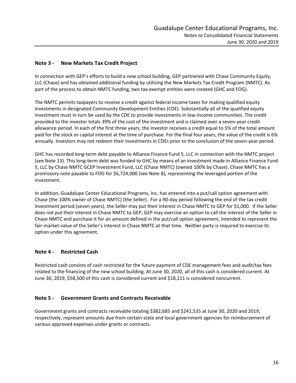## **Note 3 - New Markets Tax Credit Project**

In connection with GEP's efforts to build a new school building, GEP partnered with Chase Community Equity, LLC (Chase) and has obtained additional funding by utilizing the New Markets Tax Credit Program (NMTC). As part of the process to obtain NMTC funding, two tax-exempt entities were created (GHC and FOG).

The NMTC permits taxpayers to receive a credit against federal income taxes for making qualified equity investments in designated Community Development Entities (CDE). Substantially all of the qualified equity investment must in turn be used by the CDE to provide investments in low-income communities. The credit provided to the investor totals 39% of the cost of the investment and is claimed over a seven-year credit allowance period. In each of the first three years, the investor receives a credit equal to 5% of the total amount paid for the stock or capital interest at the time of purchase. For the final four years, the value of the credit is 6% annually. Investors may not redeem their investments in CDEs prior to the conclusion of the seven-year period.

GHC has recorded long-term debt payable to Alliance Finance Fund 5, LLC in connection with the NMTC project (see Note 13). This long-term debt was funded to GHC by means of an investment made in Alliance Finance Fund 5, LLC by Chase NMTC GCEP Investment Fund, LLC (Chase NMTC) (owned 100% by Chase). Chase NMTC has a promissory note payable to FOG for \$6,724,000 (see Note 8), representing the leveraged portion of the investment.

In addition, Guadalupe Center Educational Programs, Inc. has entered into a put/call option agreement with Chase (the 100% owner of Chase NMTC) (the Seller). For a 90-day period following the end of the tax credit investment period (seven years), the Seller may put their interest in Chase NMTC to GEP for \$1,000. If the Seller does not put their interest in Chase NMTC to GEP, GEP may exercise an option to call the interest of the Seller in Chase NMTC and purchase it for an amount defined in the put/call option agreement, intended to represent the fair-market value of the Seller's interest in Chase NMTC at that time. Neither party is required to exercise its option under this agreement.

### **Note 4 - Restricted Cash**

Restricted cash consists of cash restricted for the future payment of CDE management fees and audit/tax fees related to the financing of the new school building. At June 30, 2020, all of this cash is considered current. At June 30, 2019, \$58,500 of this cash is considered current and \$18,111 is considered noncurrent.

### **Note 5 - Government Grants and Contracts Receivable**

Government grants and contracts receivable totaling \$382,685 and \$241,535 at June 30, 2020 and 2019, respectively, represent amounts due from certain state and local government agencies for reimbursement of various approved expenses under grants or contracts.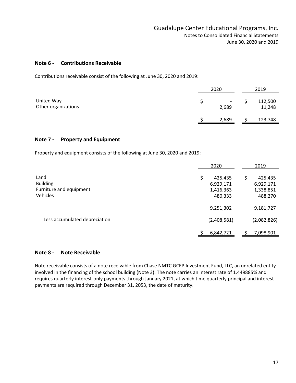#### **Note 6 - Contributions Receivable**

|                                                                              | Guadalupe Center Educational Programs, Inc.<br>Notes to Consolidated Financial Statements |                         |
|------------------------------------------------------------------------------|-------------------------------------------------------------------------------------------|-------------------------|
|                                                                              |                                                                                           | June 30, 2020 and 2019  |
| <b>Contributions Receivable</b><br>Note 6 -                                  |                                                                                           |                         |
| Contributions receivable consist of the following at June 30, 2020 and 2019: |                                                                                           |                         |
|                                                                              | 2020                                                                                      | 2019                    |
| United Way<br>Other organizations                                            | \$<br>2,689                                                                               | \$<br>112,500<br>11,248 |
|                                                                              |                                                                                           |                         |
|                                                                              | 2,689<br>S                                                                                | 123,748<br>\$           |
| <b>Property and Equipment</b><br>Note 7 -                                    |                                                                                           |                         |

#### **Note 7 - Property and Equipment**

|                               | 2020          | 2019          |
|-------------------------------|---------------|---------------|
| Land                          | \$<br>425,435 | \$<br>425,435 |
| <b>Building</b>               | 6,929,171     | 6,929,171     |
| Furniture and equipment       | 1,416,363     | 1,338,851     |
| Vehicles                      | 480,333       | 488,270       |
|                               | 9,251,302     | 9,181,727     |
| Less accumulated depreciation | (2,408,581)   | (2,082,826)   |
|                               | 6,842,721     | 7,098,901     |

### **Note 8 - Note Receivable**

Note receivable consists of a note receivable from Chase NMTC GCEP Investment Fund, LLC, an unrelated entity involved in the financing of the school building (Note 3). The note carries an interest rate of 1.449885% and requires quarterly interest-only payments through January 2021, at which time quarterly principal and interest payments are required through December 31, 2053, the date of maturity.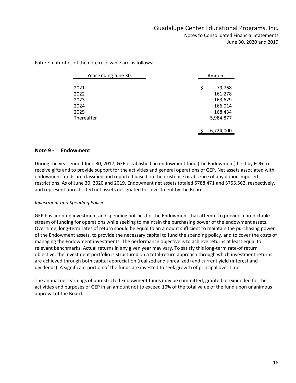Amount 2021 \$ 79,768 2022 161,278 2023 163,629 2024 166,014 2025 168,434 Thereafter 5,984,877 \$ 6,724,000 Year Ending June 30,

Future maturities of the note receivable are as follows:

### **Note 9 - Endowment**

During the year ended June 30, 2017, GEP established an endowment fund (the Endowment) held by FOG to receive gifts and to provide support for the activities and general operations of GEP. Net assets associated with endowment funds are classified and reported based on the existence or absence of any donor-imposed restrictions. As of June 30, 2020 and 2019, Endowment net assets totaled \$788,471 and \$755,562, respectively, and represent unrestricted net assets designated for investment by the Board.

#### *Investment and Spending Policies*

GEP has adopted investment and spending policies for the Endowment that attempt to provide a predictable stream of funding for operations while seeking to maintain the purchasing power of the endowment assets. Over time, long-term rates of return should be equal to an amount sufficient to maintain the purchasing power of the Endowment assets, to provide the necessary capital to fund the spending policy, and to cover the costs of managing the Endowment investments. The performance objective is to achieve returns at least equal to relevant benchmarks. Actual returns in any given year may vary. To satisfy this long-term rate-of return objective, the investment portfolio is structured on a total-return approach through which investment returns are achieved through both capital appreciation (realized and unrealized) and current yield (interest and dividends). A significant portion of the funds are invested to seek growth of principal over time.

The annual net earnings of unrestricted Endowment funds may be committed, granted or expended for the activities and purposes of GEP in an amount not to exceed 10% of the total value of the fund upon unanimous approval of the Board.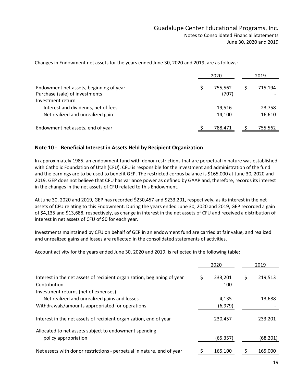|                                                                                                | 2020 |                  |  | 2019             |
|------------------------------------------------------------------------------------------------|------|------------------|--|------------------|
| Endowment net assets, beginning of year<br>Purchase (sale) of investments<br>Investment return |      | 755.562<br>(707) |  | 715,194          |
| Interest and dividends, net of fees<br>Net realized and unrealized gain                        |      | 19,516<br>14,100 |  | 23,758<br>16,610 |
| Endowment net assets, end of year                                                              |      | 788,471          |  | 755,562          |

Changes in Endowment net assets for the years ended June 30, 2020 and 2019, are as follows:

## **Note 10 - Beneficial Interest in Assets Held by Recipient Organization**

In approximately 1985, an endowment fund with donor restrictions that are perpetual in nature was established with Catholic Foundation of Utah (CFU). CFU is responsible for the investment and administration of the fund and the earnings are to be used to benefit GEP. The restricted corpus balance is \$165,000 at June 30, 2020 and 2019. GEP does not believe that CFU has variance power as defined by GAAP and, therefore, records its interest in the changes in the net assets of CFU related to this Endowment.

At June 30, 2020 and 2019, GEP has recorded \$230,457 and \$233,201, respectively, as its interest in the net assets of CFU relating to this Endowment. During the years ended June 30, 2020 and 2019, GEP recorded a gain of \$4,135 and \$13,688, respectively, as change in interest in the net assets of CFU and received a distribution of interest in net assets of CFU of \$0 for each year.

Investments maintained by CFU on behalf of GEP in an endowment fund are carried at fair value, and realized and unrealized gains and losses are reflected in the consolidated statements of activities.

Account activity for the years ended June 30, 2020 and 2019, is reflected in the following table:

|                                                                               |   | 2020      |     | 2019      |
|-------------------------------------------------------------------------------|---|-----------|-----|-----------|
| Interest in the net assets of recipient organization, beginning of year       | S | 233,201   | \$. | 219,513   |
| Contribution                                                                  |   | 100       |     |           |
| Investment returns (net of expenses)                                          |   |           |     |           |
| Net realized and unrealized gains and losses                                  |   | 4,135     |     | 13,688    |
| Withdrawals/amounts appropriated for operations                               |   | (6, 979)  |     |           |
| Interest in the net assets of recipient organization, end of year             |   | 230,457   |     | 233,201   |
| Allocated to net assets subject to endowment spending<br>policy appropriation |   | (65, 357) |     | (68, 201) |
| Net assets with donor restrictions - perpetual in nature, end of year         |   | 165,100   |     | 165,000   |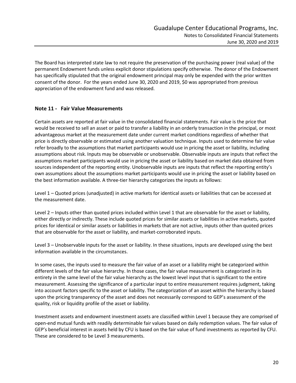The Board has interpreted state law to not require the preservation of the purchasing power (real value) of the permanent Endowment funds unless explicit donor stipulations specify otherwise. The donor of the Endowment has specifically stipulated that the original endowment principal may only be expended with the prior written consent of the donor. For the years ended June 30, 2020 and 2019, \$0 was appropriated from previous appreciation of the endowment fund and was released.

### **Note 11 - Fair Value Measurements**

Certain assets are reported at fair value in the consolidated financial statements. Fair value is the price that would be received to sell an asset or paid to transfer a liability in an orderly transaction in the principal, or most advantageous market at the measurement date under current market conditions regardless of whether that price is directly observable or estimated using another valuation technique. Inputs used to determine fair value refer broadly to the assumptions that market participants would use in pricing the asset or liability, including assumptions about risk. Inputs may be observable or unobservable. Observable inputs are inputs that reflect the assumptions market participants would use in pricing the asset or liability based on market data obtained from sources independent of the reporting entity. Unobservable inputs are inputs that reflect the reporting entity's own assumptions about the assumptions market participants would use in pricing the asset or liability based on the best information available. A three-tier hierarchy categorizes the inputs as follows:

Level 1 – Quoted prices (unadjusted) in active markets for identical assets or liabilities that can be accessed at the measurement date.

Level 2 – Inputs other than quoted prices included within Level 1 that are observable for the asset or liability, either directly or indirectly. These include quoted prices for similar assets or liabilities in active markets, quoted prices for identical or similar assets or liabilities in markets that are not active, inputs other than quoted prices that are observable for the asset or liability, and market-corroborated inputs.

Level 3 – Unobservable inputs for the asset or liability. In these situations, inputs are developed using the best information available in the circumstances.

In some cases, the inputs used to measure the fair value of an asset or a liability might be categorized within different levels of the fair value hierarchy. In those cases, the fair value measurement is categorized in its entirety in the same level of the fair value hierarchy as the lowest level input that is significant to the entire measurement. Assessing the significance of a particular input to entire measurement requires judgment, taking into account factors specific to the asset or liability. The categorization of an asset within the hierarchy is based upon the pricing transparency of the asset and does not necessarily correspond to GEP's assessment of the quality, risk or liquidity profile of the asset or liability.

Investment assets and endowment investment assets are classified within Level 1 because they are comprised of open-end mutual funds with readily determinable fair values based on daily redemption values. The fair value of GEP's beneficial interest in assets held by CFU is based on the fair value of fund investments as reported by CFU. These are considered to be Level 3 measurements.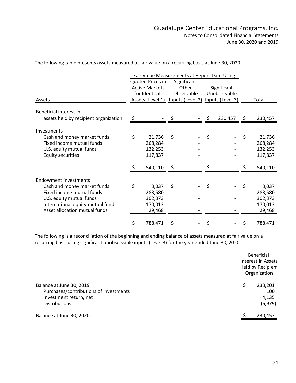|                                                                                                                                                                                            |    |                                                                                                                                                                                                                                             |    |  |    | Notes to Consolidated Financial Statements |    | Guadalupe Center Educational Programs, Inc.<br>June 30, 2020 and 2019 |
|--------------------------------------------------------------------------------------------------------------------------------------------------------------------------------------------|----|---------------------------------------------------------------------------------------------------------------------------------------------------------------------------------------------------------------------------------------------|----|--|----|--------------------------------------------|----|-----------------------------------------------------------------------|
| The following table presents assets measured at fair value on a recurring basis at June 30, 2020:                                                                                          |    |                                                                                                                                                                                                                                             |    |  |    |                                            |    |                                                                       |
| Assets                                                                                                                                                                                     |    | Fair Value Measurements at Report Date Using<br>Quoted Prices in<br>Significant<br>Other<br><b>Active Markets</b><br>Significant<br>for Identical<br>Observable<br>Unobservable<br>Assets (Level 1)<br>Inputs (Level 2)<br>Inputs (Level 3) |    |  |    | Total                                      |    |                                                                       |
| Beneficial interest in                                                                                                                                                                     |    |                                                                                                                                                                                                                                             |    |  |    |                                            |    |                                                                       |
| assets held by recipient organization                                                                                                                                                      | -Ş |                                                                                                                                                                                                                                             |    |  |    | 230,457                                    | S. | 230,457                                                               |
| Investments<br>Cash and money market funds<br>Fixed income mutual funds<br>U.S. equity mutual funds<br><b>Equity securities</b>                                                            | \$ | 21,736<br>268,284<br>132,253<br>117,837                                                                                                                                                                                                     | \$ |  | \$ |                                            | \$ | 21,736<br>268,284<br>132,253<br>117,837                               |
|                                                                                                                                                                                            |    | 540,110                                                                                                                                                                                                                                     |    |  |    |                                            |    | 540,110                                                               |
| <b>Endowment investments</b><br>Cash and money market funds<br>Fixed income mutual funds<br>U.S. equity mutual funds<br>International equity mutual funds<br>Asset allocation mutual funds | \$ | 3,037<br>283,580<br>302,373<br>170,013<br>29,468                                                                                                                                                                                            | \$ |  | \$ |                                            | \$ | 3,037<br>283,580<br>302,373<br>170,013<br>29,468                      |
|                                                                                                                                                                                            |    |                                                                                                                                                                                                                                             |    |  |    |                                            |    |                                                                       |

|                                                                                                                      | <b>Beneficial</b><br>Interest in Assets<br>Held by Recipient<br>Organization |  |  |  |
|----------------------------------------------------------------------------------------------------------------------|------------------------------------------------------------------------------|--|--|--|
| Balance at June 30, 2019<br>Purchases/contributions of investments<br>Investment return, net<br><b>Distributions</b> | 233,201<br>Ś<br>100<br>4,135<br>(6,979)                                      |  |  |  |
| Balance at June 30, 2020                                                                                             | 230,457                                                                      |  |  |  |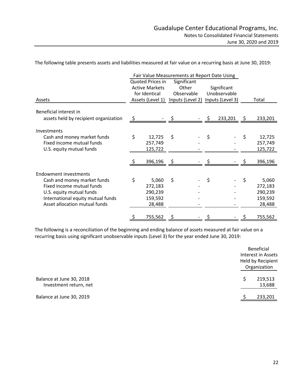|                                                                                                                   |    |                                              |                     |    |                             |    | Guadalupe Center Educational Programs, Inc. |
|-------------------------------------------------------------------------------------------------------------------|----|----------------------------------------------|---------------------|----|-----------------------------|----|---------------------------------------------|
|                                                                                                                   |    |                                              |                     |    |                             |    |                                             |
|                                                                                                                   |    |                                              |                     |    |                             |    | Notes to Consolidated Financial Statements  |
|                                                                                                                   |    |                                              |                     |    |                             |    | June 30, 2020 and 2019                      |
|                                                                                                                   |    |                                              |                     |    |                             |    |                                             |
| The following table presents assets and liabilities measured at fair value on a recurring basis at June 30, 2019: |    |                                              |                     |    |                             |    |                                             |
|                                                                                                                   |    | Fair Value Measurements at Report Date Using |                     |    |                             |    |                                             |
|                                                                                                                   |    | Quoted Prices in                             | Significant         |    |                             |    |                                             |
|                                                                                                                   |    | <b>Active Markets</b><br>for Identical       | Other<br>Observable |    | Significant<br>Unobservable |    |                                             |
| Assets                                                                                                            |    | Assets (Level 1)                             | Inputs (Level 2)    |    | Inputs (Level 3)            |    | Total                                       |
|                                                                                                                   |    |                                              |                     |    |                             |    |                                             |
| Beneficial interest in                                                                                            |    |                                              |                     |    |                             |    |                                             |
| assets held by recipient organization                                                                             | Ş  |                                              |                     |    | 233,201                     | -Ş | 233,201                                     |
| Investments                                                                                                       |    |                                              |                     |    |                             |    |                                             |
| Cash and money market funds                                                                                       | \$ | 12,725                                       | \$                  | \$ |                             | \$ | 12,725                                      |
| Fixed income mutual funds                                                                                         |    | 257,749                                      |                     |    |                             |    | 257,749                                     |
| U.S. equity mutual funds                                                                                          |    | 125,722                                      |                     |    |                             |    | 125,722                                     |
|                                                                                                                   |    |                                              | \$                  | \$ |                             | \$ | 396,196                                     |
|                                                                                                                   | \$ | 396.196                                      |                     |    |                             |    |                                             |
|                                                                                                                   |    |                                              |                     |    |                             |    |                                             |
|                                                                                                                   |    |                                              |                     |    |                             |    |                                             |
| Cash and money market funds                                                                                       | \$ | 5,060                                        | \$                  | \$ |                             | \$ | 5,060                                       |
| Fixed income mutual funds                                                                                         |    | 272,183                                      |                     |    |                             |    | 272,183                                     |
| U.S. equity mutual funds                                                                                          |    | 290,239<br>159,592                           |                     |    |                             |    | 290,239                                     |
| International equity mutual funds<br>Asset allocation mutual funds                                                |    | 28,488                                       |                     |    |                             |    | 159,592<br>28,488                           |
| <b>Endowment investments</b>                                                                                      | S  | 755,562                                      |                     |    |                             |    | 755,562                                     |

|                                                    | Beneficial<br>Interest in Assets<br>Held by Recipient<br>Organization |
|----------------------------------------------------|-----------------------------------------------------------------------|
| Balance at June 30, 2018<br>Investment return, net | 219,513<br>Ś.<br>13,688                                               |
| Balance at June 30, 2019                           | 233,201                                                               |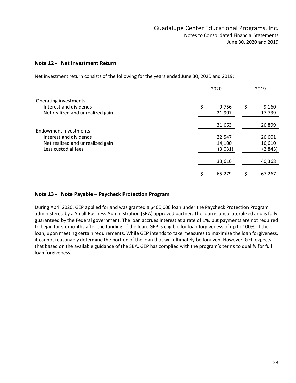#### **Note 12 - Net Investment Return**

Net investment return consists of the following for the years ended June 30, 2020 and 2019:

|                                                         | 2020 |                   | 2019              |
|---------------------------------------------------------|------|-------------------|-------------------|
| Operating investments<br>Interest and dividends         | \$   | 9,756             | \$<br>9,160       |
| Net realized and unrealized gain                        |      | 21,907            | 17,739            |
| Endowment investments                                   |      | 31,663            | 26,899            |
| Interest and dividends                                  |      | 22,547            | 26,601            |
| Net realized and unrealized gain<br>Less custodial fees |      | 14,100<br>(3,031) | 16,610<br>(2,843) |
|                                                         |      | 33,616            | 40,368            |
|                                                         |      | 65,279            | 67,267            |

### **Note 13 - Note Payable – Paycheck Protection Program**

During April 2020, GEP applied for and was granted a \$400,000 loan under the Paycheck Protection Program administered by a Small Business Administration (SBA) approved partner. The loan is uncollateralized and is fully guaranteed by the Federal government. The loan accrues interest at a rate of 1%, but payments are not required to begin for six months after the funding of the loan. GEP is eligible for loan forgiveness of up to 100% of the loan, upon meeting certain requirements. While GEP intends to take measures to maximize the loan forgiveness, it cannot reasonably determine the portion of the loan that will ultimately be forgiven. However, GEP expects that based on the available guidance of the SBA, GEP has complied with the program's terms to qualify for full loan forgiveness.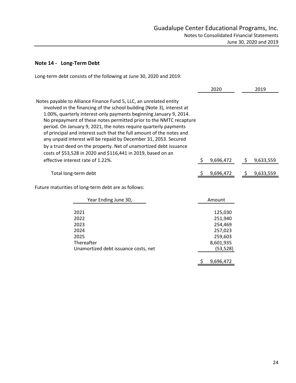# **Note 14 - Long-Term Debt**

Long-term debt consists of the following at June 30, 2020 and 2019:

|                                                                                                                                                                                                                                                                                                                                                                                                                                                                                                                                                                                                                                                                                    | 2020                                                                          | 2019            |
|------------------------------------------------------------------------------------------------------------------------------------------------------------------------------------------------------------------------------------------------------------------------------------------------------------------------------------------------------------------------------------------------------------------------------------------------------------------------------------------------------------------------------------------------------------------------------------------------------------------------------------------------------------------------------------|-------------------------------------------------------------------------------|-----------------|
| Notes payable to Alliance Finance Fund 5, LLC, an unrelated entity<br>involved in the financing of the school building (Note 3), interest at<br>1.00%, quarterly interest-only payments beginning January 9, 2014.<br>No prepayment of these notes permitted prior to the NMTC recapture<br>period. On January 9, 2021, the notes require quarterly payments<br>of principal and interest such that the full amount of the notes and<br>any unpaid interest will be repaid by December 31, 2053. Secured<br>by a trust deed on the property. Net of unamortized debt issuance<br>costs of \$53,528 in 2020 and \$116,441 in 2019, based on an<br>effective interest rate of 1.22%. | 9,696,472<br>\$                                                               | 9,633,559<br>\$ |
|                                                                                                                                                                                                                                                                                                                                                                                                                                                                                                                                                                                                                                                                                    |                                                                               |                 |
| Total long-term debt                                                                                                                                                                                                                                                                                                                                                                                                                                                                                                                                                                                                                                                               | 9,696,472                                                                     | 9,633,559<br>S. |
| Future maturities of long-term debt are as follows:                                                                                                                                                                                                                                                                                                                                                                                                                                                                                                                                                                                                                                |                                                                               |                 |
| Year Ending June 30,                                                                                                                                                                                                                                                                                                                                                                                                                                                                                                                                                                                                                                                               | Amount                                                                        |                 |
| 2021<br>2022<br>2023<br>2024<br>2025<br>Thereafter<br>Unamortized debt issuance costs, net                                                                                                                                                                                                                                                                                                                                                                                                                                                                                                                                                                                         | 125,030<br>251,940<br>254,469<br>257,023<br>259,603<br>8,601,935<br>(53, 528) |                 |

\$ 9,696,472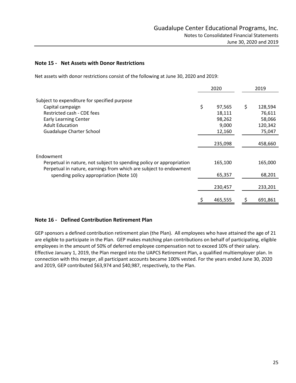#### **Note 15 - Net Assets with Donor Restrictions**

Net assets with donor restrictions consist of the following at June 30, 2020 and 2019:

|                                                                                                              | 2020 |         |    | 2019    |
|--------------------------------------------------------------------------------------------------------------|------|---------|----|---------|
| Subject to expenditure for specified purpose                                                                 |      |         |    |         |
| Capital campaign                                                                                             | \$   | 97,565  | \$ | 128,594 |
| Restricted cash - CDE fees                                                                                   |      | 18,111  |    | 76,611  |
| <b>Early Learning Center</b>                                                                                 |      | 98,262  |    | 58,066  |
| <b>Adult Education</b>                                                                                       |      | 9,000   |    | 120,342 |
| <b>Guadalupe Charter School</b>                                                                              |      | 12,160  |    | 75,047  |
|                                                                                                              |      | 235,098 |    | 458,660 |
| Endowment                                                                                                    |      |         |    |         |
| Perpetual in nature, not subject to spending policy or appropriation                                         |      | 165,100 |    | 165,000 |
| Perpetual in nature, earnings from which are subject to endowment<br>spending policy appropriation (Note 10) |      | 65,357  |    | 68,201  |
|                                                                                                              |      | 230,457 |    | 233,201 |
|                                                                                                              |      | 465,555 | Ş  | 691,861 |

### **Note 16 - Defined Contribution Retirement Plan**

GEP sponsors a defined contribution retirement plan (the Plan). All employees who have attained the age of 21 are eligible to participate in the Plan. GEP makes matching plan contributions on behalf of participating, eligible employees in the amount of 50% of deferred employee compensation not to exceed 10% of their salary. Effective January 1, 2019, the Plan merged into the UAPCS Retirement Plan, a qualified multiemployer plan. In connection with this merger, all participant accounts became 100% vested. For the years ended June 30, 2020 and 2019, GEP contributed \$63,974 and \$40,987, respectively, to the Plan.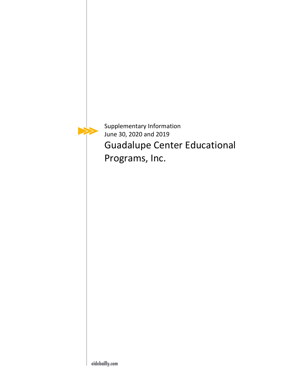

Supplementary Information June 30, 2020 and 2019 Guadalupe Center Educational Programs, Inc.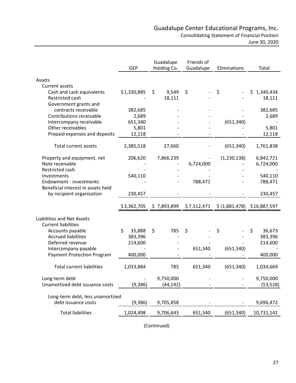June 30, 2020

<span id="page-28-0"></span>

|                                              | <b>GEP</b>      | Guadalupe<br>Holding Co. | Friends of<br>Guadalupe | Eliminations               | Total            |
|----------------------------------------------|-----------------|--------------------------|-------------------------|----------------------------|------------------|
| Assets                                       |                 |                          |                         |                            |                  |
| Current assets                               |                 |                          |                         |                            |                  |
| Cash and cash equivalents                    | \$1,330,885     | \$<br>9,549              | \$                      | \$                         | \$.<br>1,340,434 |
| Restricted cash                              |                 | 18,111                   |                         |                            | 18,111           |
| Government grants and                        |                 |                          |                         |                            |                  |
| contracts receivable                         | 382,685         |                          |                         |                            | 382,685          |
| Contributions receivable                     | 2,689           |                          |                         |                            | 2,689            |
| Intercompany receivable<br>Other receivables | 651,340         |                          |                         | (651, 340)                 |                  |
| Prepaid expenses and deposits                | 5,801<br>12,118 |                          |                         |                            | 5,801<br>12,118  |
|                                              |                 |                          |                         |                            |                  |
| Total current assets                         | 2,385,518       | 27,660                   |                         | (651, 340)                 | 1,761,838        |
| Property and equipment, net                  | 206,620         | 7,866,239                |                         | (1,230,138)                | 6,842,721        |
| Note receivable                              |                 |                          | 6,724,000               |                            | 6,724,000        |
| Restricted cash                              |                 |                          |                         |                            |                  |
| Investments                                  | 540,110         |                          |                         |                            | 540,110          |
| Endowment - investments                      |                 |                          | 788,471                 |                            | 788,471          |
| Beneficial interest in assets held           |                 |                          |                         |                            |                  |
| by recipient organization                    | 230,457         |                          |                         |                            | 230,457          |
|                                              | \$3,362,705     | \$7,893,899              | \$7,512,471             | \$(1,881,478) \$16,887,597 |                  |
| Liabilities and Net Assets                   |                 |                          |                         |                            |                  |
| <b>Current liabilities</b>                   |                 |                          |                         |                            |                  |
| Accounts payable                             | \$<br>35,888    | \$<br>785                | \$                      | \$                         | \$<br>36,673     |
| <b>Accrued liabilities</b>                   | 383,396         |                          |                         |                            | 383,396          |
| Deferred revenue                             | 214,600         |                          |                         |                            | 214,600          |
| Intercompany payable                         |                 |                          | 651,340                 | (651, 340)                 |                  |
| <b>Payment Protection Program</b>            | 400,000         |                          |                         |                            | 400,000          |
| <b>Total current liabilities</b>             | 1,033,884       | 785                      | 651,340                 | (651, 340)                 | 1,034,669        |
|                                              |                 |                          |                         |                            |                  |
| Long-term debt                               |                 | 9,750,000                |                         |                            | 9,750,000        |
| Unamortized debt issuance costs              | (9,386)         | (44, 142)                |                         |                            | (53, 528)        |
| Long-term debt, less unamortized             |                 |                          |                         |                            |                  |
| debt issuance costs                          | (9,386)         | 9,705,858                |                         |                            | 9,696,472        |
|                                              |                 |                          |                         |                            |                  |
| <b>Total liabilities</b>                     | 1,024,498       | 9,706,643                | 651,340                 | (651, 340)                 | 10,731,141       |
|                                              |                 |                          |                         |                            |                  |

(Continued)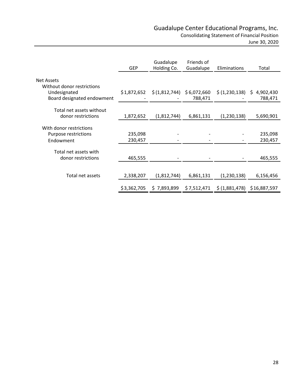Consolidating Statement of Financial Position

June 30, 2020

|                                                                          | <b>GEP</b>  | Guadalupe<br>Holding Co. | Friends of<br>Guadalupe | Eliminations                | Total        |
|--------------------------------------------------------------------------|-------------|--------------------------|-------------------------|-----------------------------|--------------|
| Net Assets                                                               |             |                          |                         |                             |              |
| Without donor restrictions<br>Undesignated<br>Board designated endowment | \$1,872,652 | \$(1,812,744)            | \$6,072,660<br>788,471  | \$ (1,230,138) \$ 4,902,430 | 788,471      |
| Total net assets without                                                 |             |                          |                         |                             |              |
| donor restrictions                                                       | 1,872,652   | (1,812,744)              | 6,861,131               | (1,230,138)                 | 5,690,901    |
| With donor restrictions                                                  |             |                          |                         |                             |              |
| Purpose restrictions                                                     | 235,098     |                          |                         |                             | 235,098      |
| Endowment                                                                | 230,457     |                          |                         |                             | 230,457      |
| Total net assets with                                                    |             |                          |                         |                             |              |
| donor restrictions                                                       | 465,555     |                          |                         |                             | 465,555      |
|                                                                          |             |                          |                         |                             |              |
| Total net assets                                                         | 2,338,207   | (1,812,744)              | 6,861,131               | (1,230,138)                 | 6,156,456    |
|                                                                          | \$3,362,705 | \$7,893,899              | \$7,512,471             | \$ (1,881,478)              | \$16,887,597 |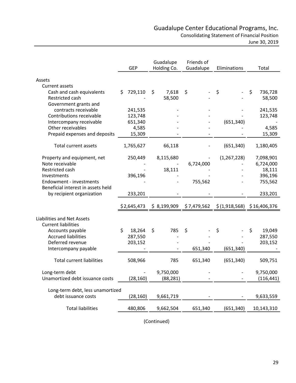|                                                         |               |                |            | Guadalupe Center Educational Programs, Inc.          |                        |
|---------------------------------------------------------|---------------|----------------|------------|------------------------------------------------------|------------------------|
|                                                         |               |                |            | <b>Consolidating Statement of Financial Position</b> |                        |
|                                                         |               |                |            |                                                      | June 30, 2019          |
|                                                         |               |                |            |                                                      |                        |
|                                                         |               | Guadalupe      | Friends of |                                                      |                        |
|                                                         | <b>GEP</b>    | Holding Co.    | Guadalupe  | Eliminations                                         | Total                  |
|                                                         |               |                |            |                                                      |                        |
| Assets<br>Current assets                                |               |                |            |                                                      |                        |
| Cash and cash equivalents                               | 729,110<br>\$ | \$<br>7,618    | \$         | \$                                                   | \$<br>736,728          |
| Restricted cash                                         |               | 58,500         |            |                                                      | 58,500                 |
| Government grants and                                   |               |                |            |                                                      |                        |
| contracts receivable                                    | 241,535       |                |            |                                                      | 241,535                |
| Contributions receivable                                | 123,748       |                |            |                                                      | 123,748                |
| Intercompany receivable                                 | 651,340       |                |            | (651, 340)                                           |                        |
| Other receivables                                       | 4,585         |                |            |                                                      | 4,585                  |
| Prepaid expenses and deposits                           | 15,309        |                |            |                                                      | 15,309                 |
| <b>Total current assets</b>                             | 1,765,627     | 66,118         |            | (651, 340)                                           | 1,180,405              |
|                                                         |               |                |            |                                                      |                        |
| Property and equipment, net<br>Note receivable          | 250,449       | 8,115,680      | 6,724,000  | (1, 267, 228)                                        | 7,098,901<br>6,724,000 |
| Restricted cash                                         |               | 18,111         |            |                                                      | 18,111                 |
| Investments                                             | 396,196       |                |            |                                                      | 396,196                |
| Endowment - investments                                 |               |                | 755,562    |                                                      | 755,562                |
| Beneficial interest in assets held                      |               |                |            |                                                      |                        |
| by recipient organization                               | 233,201       |                |            |                                                      | 233,201                |
|                                                         | \$2,645,473   | \$8,199,909    |            | $$7,479,562$ $$(1,918,568)$ $$16,406,376$            |                        |
| <b>Liabilities and Net Assets</b>                       |               |                |            |                                                      |                        |
| <b>Current liabilities</b>                              |               |                |            |                                                      |                        |
| Accounts payable                                        | \$<br>18,264  | $\zeta$<br>785 | \$         | \$                                                   | \$<br>19,049           |
| <b>Accrued liabilities</b>                              | 287,550       |                |            |                                                      | 287,550                |
| Deferred revenue                                        | 203,152       |                |            |                                                      | 203,152                |
| Intercompany payable                                    |               |                | 651,340    | (651, 340)                                           |                        |
| <b>Total current liabilities</b>                        | 508,966       | 785            | 651,340    | (651, 340)                                           | 509,751                |
| Long-term debt                                          |               | 9,750,000      |            |                                                      | 9,750,000              |
| Unamortized debt issuance costs                         | (28, 160)     | (88, 281)      |            |                                                      | (116, 441)             |
|                                                         |               |                |            |                                                      |                        |
| Long-term debt, less unamortized<br>debt issuance costs |               |                |            |                                                      |                        |
|                                                         | (28, 160)     | 9,661,719      |            |                                                      | 9,633,559              |
| <b>Total liabilities</b>                                | 480,806       | 9,662,504      | 651,340    | (651, 340)                                           | 10,143,310             |
|                                                         |               |                |            |                                                      |                        |

(Continued)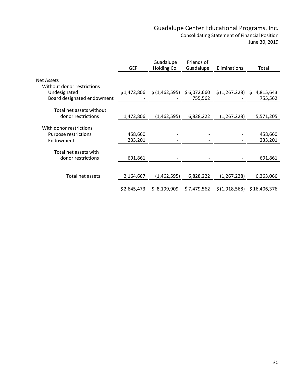Consolidating Statement of Financial Position

June 30, 2019

|                                                                          | <b>GEP</b>  | Guadalupe<br>Holding Co.  | Friends of<br>Guadalupe | Eliminations      | Total                |
|--------------------------------------------------------------------------|-------------|---------------------------|-------------------------|-------------------|----------------------|
| Net Assets                                                               |             |                           |                         |                   |                      |
| Without donor restrictions<br>Undesignated<br>Board designated endowment | \$1,472,806 | \$(1,462,595) \$6,072,660 | 755,562                 | $$(1,267,228)$ \$ | 4,815,643<br>755,562 |
| Total net assets without                                                 |             |                           |                         |                   |                      |
| donor restrictions                                                       | 1,472,806   | (1,462,595)               | 6,828,222               | (1, 267, 228)     | 5,571,205            |
| With donor restrictions                                                  |             |                           |                         |                   |                      |
| Purpose restrictions                                                     | 458,660     |                           |                         |                   | 458,660              |
| Endowment                                                                | 233,201     |                           |                         |                   | 233,201              |
| Total net assets with                                                    |             |                           |                         |                   |                      |
| donor restrictions                                                       | 691,861     |                           |                         |                   | 691,861              |
|                                                                          |             |                           |                         |                   |                      |
| Total net assets                                                         | 2,164,667   | (1,462,595)               | 6,828,222               | (1, 267, 228)     | 6,263,066            |
|                                                                          | \$2,645,473 | \$8,199,909               | \$7,479,562             | \$(1,918,568)     | \$16,406,376         |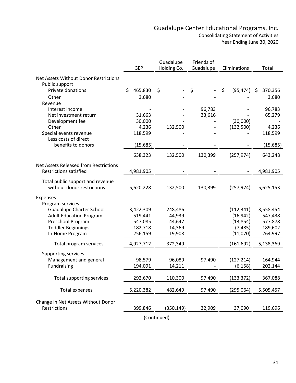<span id="page-32-0"></span>

|                                       | <b>GEP</b>  |           | Guadalupe<br>Holding Co. |            |         | Friends of<br>Guadalupe<br>Eliminations |    |            | Total |           |
|---------------------------------------|-------------|-----------|--------------------------|------------|---------|-----------------------------------------|----|------------|-------|-----------|
| Net Assets Without Donor Restrictions |             |           |                          |            |         |                                         |    |            |       |           |
| Public support                        |             |           |                          |            |         |                                         |    |            |       |           |
| Private donations                     | \$          | 465,830   | \$                       |            | \$      |                                         | \$ | (95, 474)  | -\$   | 370,356   |
| Other                                 |             | 3,680     |                          |            |         |                                         |    |            |       | 3,680     |
| Revenue                               |             |           |                          |            |         |                                         |    |            |       |           |
| Interest income                       |             |           |                          |            |         | 96,783                                  |    |            |       | 96,783    |
| Net investment return                 |             | 31,663    |                          |            |         | 33,616                                  |    |            |       | 65,279    |
| Development fee                       |             | 30,000    |                          |            |         |                                         |    | (30,000)   |       |           |
| Other                                 |             | 4,236     |                          | 132,500    |         |                                         |    | (132,500)  |       | 4,236     |
| Special events revenue                |             | 118,599   |                          |            |         |                                         |    |            |       | 118,599   |
| Less costs of direct                  |             |           |                          |            |         |                                         |    |            |       |           |
| benefits to donors                    |             | (15, 685) |                          |            |         |                                         |    |            |       | (15, 685) |
|                                       |             | 638,323   |                          | 132,500    | 130,399 |                                         |    | (257, 974) |       | 643,248   |
| Net Assets Released from Restrictions |             |           |                          |            |         |                                         |    |            |       |           |
| <b>Restrictions satisfied</b>         |             | 4,981,905 |                          |            |         |                                         |    |            |       | 4,981,905 |
|                                       |             |           |                          |            |         |                                         |    |            |       |           |
| Total public support and revenue      |             |           |                          |            |         |                                         |    |            |       |           |
| without donor restrictions            |             | 5,620,228 |                          | 132,500    | 130,399 |                                         |    | (257, 974) |       | 5,625,153 |
| Expenses                              |             |           |                          |            |         |                                         |    |            |       |           |
| Program services                      |             |           |                          |            |         |                                         |    |            |       |           |
| <b>Guadalupe Charter School</b>       |             | 3,422,309 |                          | 248,486    |         |                                         |    | (112, 341) |       | 3,558,454 |
| <b>Adult Education Program</b>        |             | 519,441   |                          | 44,939     |         |                                         |    | (16, 942)  |       | 547,438   |
| Preschool Program                     |             | 547,085   |                          | 44,647     |         |                                         |    | (13, 854)  |       | 577,878   |
| <b>Toddler Beginnings</b>             |             | 182,718   |                          | 14,369     |         |                                         |    | (7, 485)   |       | 189,602   |
| In-Home Program                       |             | 256,159   |                          | 19,908     |         |                                         |    | (11,070)   |       | 264,997   |
| Total program services                |             | 4,927,712 |                          | 372,349    |         |                                         |    | (161, 692) |       | 5,138,369 |
| <b>Supporting services</b>            |             |           |                          |            |         |                                         |    |            |       |           |
| Management and general                |             | 98,579    |                          | 96,089     |         | 97,490                                  |    | (127, 214) |       | 164,944   |
| Fundraising                           |             | 194,091   |                          | 14,211     |         |                                         |    | (6, 158)   |       | 202,144   |
|                                       |             |           |                          |            |         |                                         |    |            |       |           |
| Total supporting services             |             | 292,670   |                          | 110,300    |         | 97,490                                  |    | (133, 372) |       | 367,088   |
| <b>Total expenses</b>                 |             | 5,220,382 |                          | 482,649    |         | 97,490                                  |    | (295,064)  |       | 5,505,457 |
| Change in Net Assets Without Donor    |             |           |                          |            |         |                                         |    |            |       |           |
| Restrictions                          |             | 399,846   |                          | (350, 149) |         | 32,909                                  |    | 37,090     |       | 119,696   |
|                                       |             |           |                          |            |         |                                         |    |            |       |           |
|                                       | (Continued) |           |                          |            |         |                                         |    |            |       |           |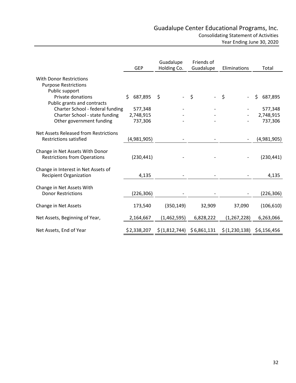|                                                                        | <b>GEP</b>    | Guadalupe<br>Holding Co.  | Friends of<br>Guadalupe | Eliminations                   | Total         |
|------------------------------------------------------------------------|---------------|---------------------------|-------------------------|--------------------------------|---------------|
| <b>With Donor Restrictions</b><br><b>Purpose Restrictions</b>          |               |                           |                         |                                |               |
| Public support<br>Private donations<br>Public grants and contracts     | 687,895<br>Ś. | \$                        | $-$ \$                  | \$<br>$\overline{\phantom{a}}$ | \$<br>687,895 |
| Charter School - federal funding                                       | 577,348       |                           |                         |                                | 577,348       |
| Charter School - state funding                                         | 2,748,915     |                           |                         |                                | 2,748,915     |
| Other government funding                                               | 737,306       |                           |                         |                                | 737,306       |
| Net Assets Released from Restrictions<br><b>Restrictions satisfied</b> | (4,981,905)   |                           |                         |                                | (4,981,905)   |
| Change in Net Assets With Donor<br><b>Restrictions from Operations</b> | (230, 441)    |                           |                         |                                | (230, 441)    |
| Change in Interest in Net Assets of<br><b>Recipient Organization</b>   | 4,135         |                           |                         |                                | 4,135         |
| Change in Net Assets With<br><b>Donor Restrictions</b>                 | (226, 306)    |                           |                         |                                | (226, 306)    |
| Change in Net Assets                                                   | 173,540       | (350, 149)                | 32,909                  | 37,090                         | (106, 610)    |
| Net Assets, Beginning of Year,                                         | 2,164,667     | (1,462,595)               | 6,828,222               | (1, 267, 228)                  | 6,263,066     |
| Net Assets, End of Year                                                | \$2,338,207   | \$(1,812,744) \$6,861,131 |                         | \$(1,230,138)                  | \$6,156,456   |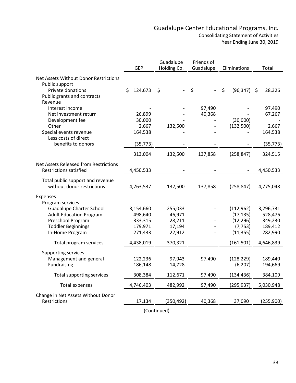|                                              | <b>GEP</b>    | Guadalupe<br>Holding Co. | Friends of<br>Guadalupe | Eliminations         | Total        |  |
|----------------------------------------------|---------------|--------------------------|-------------------------|----------------------|--------------|--|
| Net Assets Without Donor Restrictions        |               |                          |                         |                      |              |  |
| Public support                               |               |                          |                         |                      |              |  |
| Private donations                            | \$<br>124,673 | \$                       | \$                      | $\zeta$<br>(96, 347) | 28,326<br>\$ |  |
| Public grants and contracts                  |               |                          |                         |                      |              |  |
| Revenue                                      |               |                          |                         |                      |              |  |
| Interest income                              |               |                          | 97,490                  |                      | 97,490       |  |
| Net investment return                        | 26,899        |                          | 40,368                  |                      | 67,267       |  |
| Development fee                              | 30,000        |                          |                         | (30,000)             |              |  |
| Other                                        | 2,667         | 132,500                  |                         | (132,500)            | 2,667        |  |
| Special events revenue                       | 164,538       |                          |                         |                      | 164,538      |  |
| Less costs of direct                         |               |                          |                         |                      |              |  |
| benefits to donors                           | (35, 773)     |                          |                         |                      | (35, 773)    |  |
|                                              | 313,004       | 132,500                  | 137,858                 | (258, 847)           | 324,515      |  |
| <b>Net Assets Released from Restrictions</b> |               |                          |                         |                      |              |  |
| <b>Restrictions satisfied</b>                | 4,450,533     |                          |                         |                      | 4,450,533    |  |
|                                              |               |                          |                         |                      |              |  |
| Total public support and revenue             |               |                          |                         |                      |              |  |
| without donor restrictions                   | 4,763,537     | 132,500                  | 137,858                 | (258, 847)           | 4,775,048    |  |
|                                              |               |                          |                         |                      |              |  |
| Expenses<br>Program services                 |               |                          |                         |                      |              |  |
| <b>Guadalupe Charter School</b>              | 3,154,660     | 255,033                  |                         | (112, 962)           | 3,296,731    |  |
| <b>Adult Education Program</b>               | 498,640       | 46,971                   |                         | (17, 135)            | 528,476      |  |
| Preschool Program                            | 333,315       | 28,211                   |                         | (12, 296)            | 349,230      |  |
| <b>Toddler Beginnings</b>                    | 179,971       | 17,194                   |                         | (7, 753)             | 189,412      |  |
| In-Home Program                              | 271,433       | 22,912                   |                         | (11, 355)            | 282,990      |  |
|                                              |               |                          |                         |                      |              |  |
| Total program services                       | 4,438,019     | 370,321                  |                         | (161, 501)           | 4,646,839    |  |
| Supporting services                          |               |                          |                         |                      |              |  |
| Management and general                       | 122,236       | 97,943                   | 97,490                  | (128, 229)           | 189,440      |  |
| Fundraising                                  | 186,148       | 14,728                   |                         | (6, 207)             | 194,669      |  |
|                                              |               |                          |                         |                      |              |  |
| Total supporting services                    | 308,384       | 112,671                  | 97,490                  | (134, 436)           | 384,109      |  |
| <b>Total expenses</b>                        | 4,746,403     | 482,992                  | 97,490                  | (295, 937)           | 5,030,948    |  |
| Change in Net Assets Without Donor           |               |                          |                         |                      |              |  |
| Restrictions                                 | 17,134        | (350, 492)               | 40,368                  | 37,090               | (255,900)    |  |
|                                              |               | (Continued)              |                         |                      |              |  |
|                                              |               |                          |                         |                      |              |  |